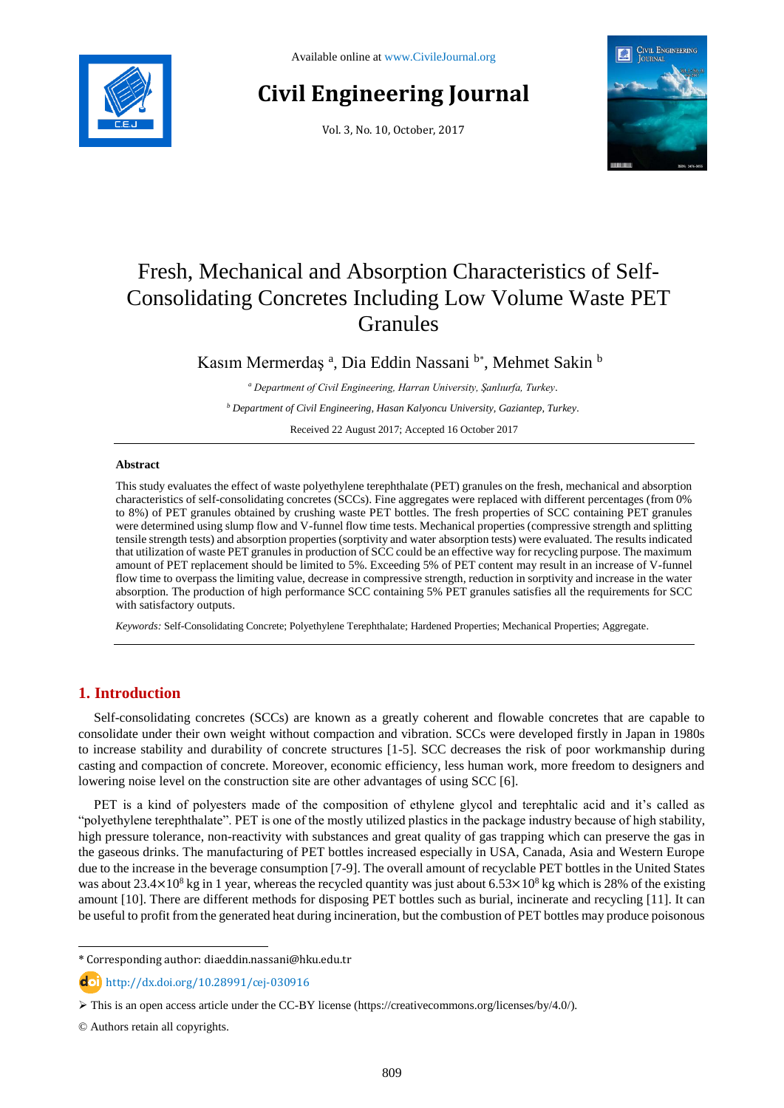

# **Civil Engineering Journal**

Vol. 3, No. 10, October, 2017



# Fresh, Mechanical and Absorption Characteristics of Self-Consolidating Concretes Including Low Volume Waste PET Granules

Kasım Mermerdaş<sup>a</sup>, Dia Eddin Nassani b\*, Mehmet Sakin b

*<sup>a</sup> Department of Civil Engineering, Harran University, Şanlıurfa, Turkey.*

*<sup>b</sup> Department of Civil Engineering, Hasan Kalyoncu University, Gaziantep, Turkey.*

Received 22 August 2017; Accepted 16 October 2017

### **Abstract**

This study evaluates the effect of waste polyethylene terephthalate (PET) granules on the fresh, mechanical and absorption characteristics of self-consolidating concretes (SCCs). Fine aggregates were replaced with different percentages (from 0% to 8%) of PET granules obtained by crushing waste PET bottles. The fresh properties of SCC containing PET granules were determined using slump flow and V-funnel flow time tests. Mechanical properties (compressive strength and splitting tensile strength tests) and absorption properties (sorptivity and water absorption tests) were evaluated. The results indicated that utilization of waste PET granules in production of SCC could be an effective way for recycling purpose. The maximum amount of PET replacement should be limited to 5%. Exceeding 5% of PET content may result in an increase of V-funnel flow time to overpass the limiting value, decrease in compressive strength, reduction in sorptivity and increase in the water absorption. The production of high performance SCC containing 5% PET granules satisfies all the requirements for SCC with satisfactory outputs.

*Keywords:* Self-Consolidating Concrete; Polyethylene Terephthalate; Hardened Properties; Mechanical Properties; Aggregate.

# **1. Introduction**

Self-consolidating concretes (SCCs) are known as a greatly coherent and flowable concretes that are capable to consolidate under their own weight without compaction and vibration. SCCs were developed firstly in Japan in 1980s to increase stability and durability of concrete structures [1-5]. SCC decreases the risk of poor workmanship during casting and compaction of concrete. Moreover, economic efficiency, less human work, more freedom to designers and lowering noise level on the construction site are other advantages of using SCC [6].

PET is a kind of polyesters made of the composition of ethylene glycol and terephtalic acid and it's called as "polyethylene terephthalate". PET is one of the mostly utilized plastics in the package industry because of high stability, high pressure tolerance, non-reactivity with substances and great quality of gas trapping which can preserve the gas in the gaseous drinks. The manufacturing of PET bottles increased especially in USA, Canada, Asia and Western Europe due to the increase in the beverage consumption [7-9]. The overall amount of recyclable PET bottles in the United States was about  $23.4\times10^8$  kg in 1 year, whereas the recycled quantity was just about  $6.53\times10^8$  kg which is 28% of the existing amount [10]. There are different methods for disposing PET bottles such as burial, incinerate and recycling [11]. It can be useful to profit from the generated heat during incineration, but the combustion of PET bottles may produce poisonous

l

<sup>\*</sup> Corresponding author[: diaeddin.nassani@hku.edu.tr](mailto:diaeddin.nassani@hku.edu.tr)

[http://dx.doi.org/10.28991/cej-030916](http://dx.doi.org/10.21859/cej-030915)

This is an open access article under the CC-BY license [\(https://creativecommons.org/licenses/by/4.0/\)](https://creativecommons.org/licenses/by/4.0/).

<sup>©</sup> Authors retain all copyrights.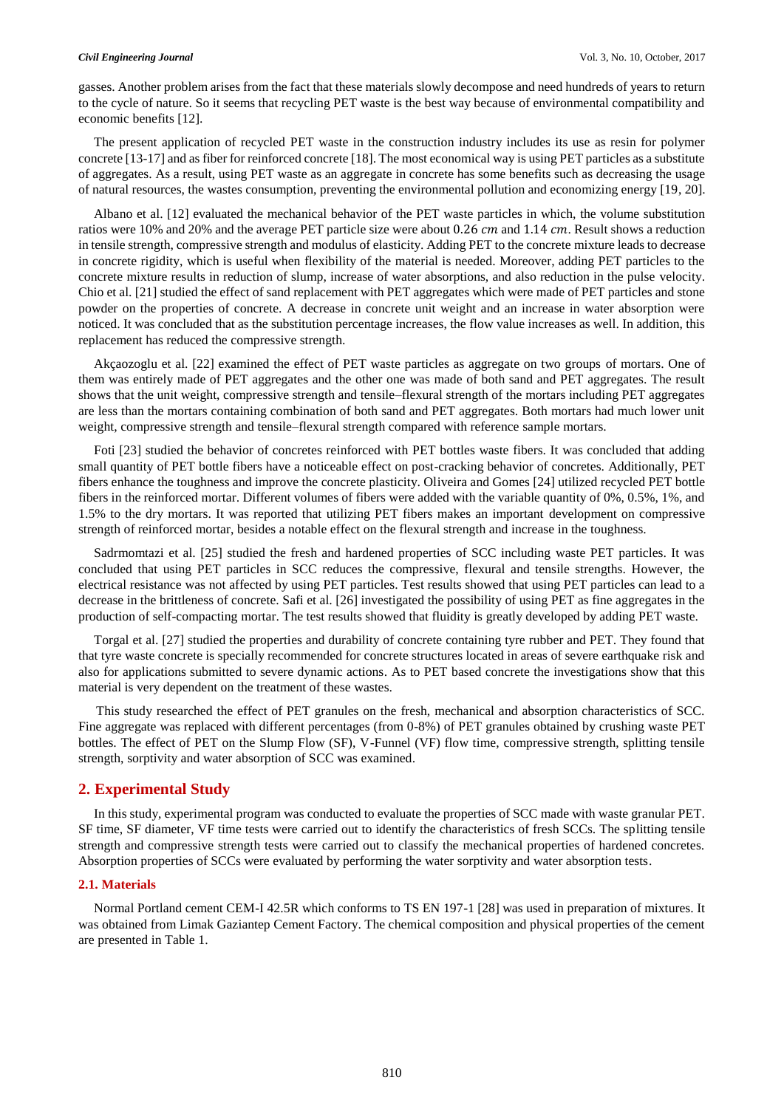gasses. Another problem arises from the fact that these materials slowly decompose and need hundreds of years to return to the cycle of nature. So it seems that recycling PET waste is the best way because of environmental compatibility and economic benefits [12].

The present application of recycled PET waste in the construction industry includes its use as resin for polymer concrete [13-17] and as fiber for reinforced concrete [18]. The most economical way is using PET particles as a substitute of aggregates. As a result, using PET waste as an aggregate in concrete has some benefits such as decreasing the usage of natural resources, the wastes consumption, preventing the environmental pollution and economizing energy [19, 20].

Albano et al. [12] evaluated the mechanical behavior of the PET waste particles in which, the volume substitution ratios were 10% and 20% and the average PET particle size were about  $0.26$  cm and  $1.14$  cm. Result shows a reduction in tensile strength, compressive strength and modulus of elasticity. Adding PET to the concrete mixture leads to decrease in concrete rigidity, which is useful when flexibility of the material is needed. Moreover, adding PET particles to the concrete mixture results in reduction of slump, increase of water absorptions, and also reduction in the pulse velocity. Chio et al. [21] studied the effect of sand replacement with PET aggregates which were made of PET particles and stone powder on the properties of concrete. A decrease in concrete unit weight and an increase in water absorption were noticed. It was concluded that as the substitution percentage increases, the flow value increases as well. In addition, this replacement has reduced the compressive strength.

Akçaozoglu et al. [22] examined the effect of PET waste particles as aggregate on two groups of mortars. One of them was entirely made of PET aggregates and the other one was made of both sand and PET aggregates. The result shows that the unit weight, compressive strength and tensile–flexural strength of the mortars including PET aggregates are less than the mortars containing combination of both sand and PET aggregates. Both mortars had much lower unit weight, compressive strength and tensile–flexural strength compared with reference sample mortars.

Foti [23] studied the behavior of concretes reinforced with PET bottles waste fibers. It was concluded that adding small quantity of PET bottle fibers have a noticeable effect on post-cracking behavior of concretes. Additionally, PET fibers enhance the toughness and improve the concrete plasticity. Oliveira and Gomes [24] utilized recycled PET bottle fibers in the reinforced mortar. Different volumes of fibers were added with the variable quantity of 0%, 0.5%, 1%, and 1.5% to the dry mortars. It was reported that utilizing PET fibers makes an important development on compressive strength of reinforced mortar, besides a notable effect on the flexural strength and increase in the toughness.

Sadrmomtazi et al. [25] studied the fresh and hardened properties of SCC including waste PET particles. It was concluded that using PET particles in SCC reduces the compressive, flexural and tensile strengths. However, the electrical resistance was not affected by using PET particles. Test results showed that using PET particles can lead to a decrease in the brittleness of concrete. Safi et al. [26] investigated the possibility of using PET as fine aggregates in the production of self-compacting mortar. The test results showed that fluidity is greatly developed by adding PET waste.

Torgal et al. [27] studied the properties and durability of concrete containing tyre rubber and PET. They found that that tyre waste concrete is specially recommended for concrete structures located in areas of severe earthquake risk and also for applications submitted to severe dynamic actions. As to PET based concrete the investigations show that this material is very dependent on the treatment of these wastes.

This study researched the effect of PET granules on the fresh, mechanical and absorption characteristics of SCC. Fine aggregate was replaced with different percentages (from 0-8%) of PET granules obtained by crushing waste PET bottles. The effect of PET on the Slump Flow (SF), V-Funnel (VF) flow time, compressive strength, splitting tensile strength, sorptivity and water absorption of SCC was examined.

# **2. Experimental Study**

In this study, experimental program was conducted to evaluate the properties of SCC made with waste granular PET. SF time, SF diameter, VF time tests were carried out to identify the characteristics of fresh SCCs. The splitting tensile strength and compressive strength tests were carried out to classify the mechanical properties of hardened concretes. Absorption properties of SCCs were evaluated by performing the water sorptivity and water absorption tests.

### **2.1. Materials**

Normal Portland cement CEM-I 42.5R which conforms to TS EN 197-1 [28] was used in preparation of mixtures. It was obtained from Limak Gaziantep Cement Factory. The chemical composition and physical properties of the cement are presented in Table 1.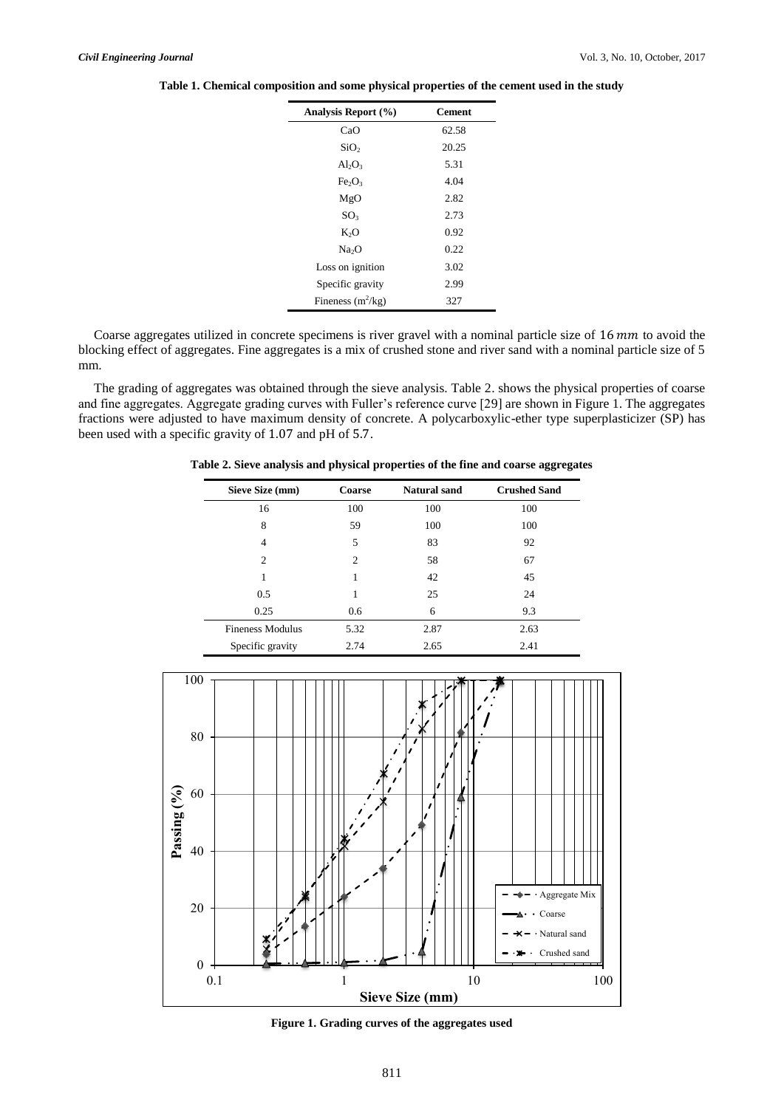| Analysis Report (%)            | <b>Cement</b> |
|--------------------------------|---------------|
| CaO                            | 62.58         |
| SiO <sub>2</sub>               | 20.25         |
| $Al_2O_3$                      | 5.31          |
| Fe <sub>2</sub> O <sub>3</sub> | 4.04          |
| MgO                            | 2.82          |
| SO <sub>3</sub>                | 2.73          |
| K <sub>2</sub> O               | 0.92          |
| Na <sub>2</sub> O              | 0.22          |
| Loss on ignition               | 3.02          |
| Specific gravity               | 2.99          |
| Fineness $(m^2/kg)$            | 327           |

**Table 1. Chemical composition and some physical properties of the cement used in the study**

Coarse aggregates utilized in concrete specimens is river gravel with a nominal particle size of  $16 \, mm$  to avoid the blocking effect of aggregates. Fine aggregates is a mix of crushed stone and river sand with a nominal particle size of 5 mm.

The grading of aggregates was obtained through the sieve analysis. Table 2. shows the physical properties of coarse and fine aggregates. Aggregate grading curves with Fuller's reference curve [29] are shown in Figure 1. The aggregates fractions were adjusted to have maximum density of concrete. A polycarboxylic-ether type superplasticizer (SP) has been used with a specific gravity of 1.07 and pH of 5.7.

**Table 2. Sieve analysis and physical properties of the fine and coarse aggregates**

| Sieve Size (mm)         | <b>Coarse</b>  | <b>Natural sand</b> | <b>Crushed Sand</b> |
|-------------------------|----------------|---------------------|---------------------|
| 16                      | 100            | 100                 | 100                 |
| 8                       | 59             | 100                 | 100                 |
| 4                       | 5              | 83                  | 92                  |
| 2                       | $\overline{c}$ | 58                  | 67                  |
| 1                       | 1              | 42                  | 45                  |
| 0.5                     |                | 25                  | 24                  |
| 0.25                    | 0.6            | 6                   | 9.3                 |
| <b>Fineness Modulus</b> | 5.32           | 2.87                | 2.63                |
| Specific gravity        | 2.74           | 2.65                | 2.41                |



**Figure 1. Grading curves of the aggregates used**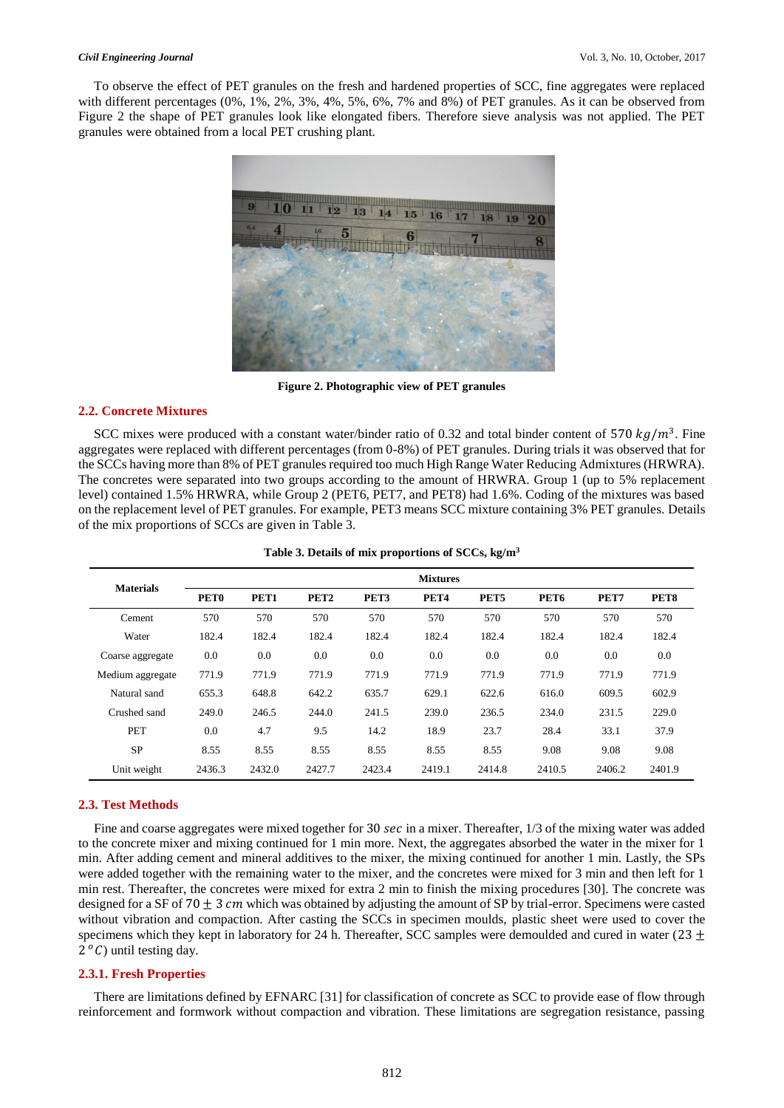To observe the effect of PET granules on the fresh and hardened properties of SCC, fine aggregates were replaced with different percentages (0%, 1%, 2%, 3%, 4%, 5%, 6%, 7% and 8%) of PET granules. As it can be observed from Figure 2 the shape of PET granules look like elongated fibers. Therefore sieve analysis was not applied. The PET granules were obtained from a local PET crushing plant.



**Figure 2. Photographic view of PET granules**

## **2.2. Concrete Mixtures**

SCC mixes were produced with a constant water/binder ratio of 0.32 and total binder content of 570  $kg/m<sup>3</sup>$ . Fine aggregates were replaced with different percentages (from 0-8%) of PET granules. During trials it was observed that for the SCCs having more than 8% of PET granules required too much High Range Water Reducing Admixtures (HRWRA). The concretes were separated into two groups according to the amount of HRWRA. Group 1 (up to 5% replacement level) contained 1.5% HRWRA, while Group 2 (PET6, PET7, and PET8) had 1.6%. Coding of the mixtures was based on the replacement level of PET granules. For example, PET3 means SCC mixture containing 3% PET granules. Details of the mix proportions of SCCs are given in Table 3.

| <b>Materials</b> | <b>Mixtures</b>  |        |                  |                  |                  |        |                  |        |        |
|------------------|------------------|--------|------------------|------------------|------------------|--------|------------------|--------|--------|
|                  | PET <sub>0</sub> | PET1   | PET <sub>2</sub> | PET <sub>3</sub> | PET <sub>4</sub> | PET5   | PET <sub>6</sub> | PET7   | PET8   |
| Cement           | 570              | 570    | 570              | 570              | 570              | 570    | 570              | 570    | 570    |
| Water            | 182.4            | 182.4  | 182.4            | 182.4            | 182.4            | 182.4  | 182.4            | 182.4  | 182.4  |
| Coarse aggregate | 0.0              | 0.0    | 0.0              | 0.0              | 0.0              | 0.0    | 0.0              | 0.0    | 0.0    |
| Medium aggregate | 771.9            | 771.9  | 771.9            | 771.9            | 771.9            | 771.9  | 771.9            | 771.9  | 771.9  |
| Natural sand     | 655.3            | 648.8  | 642.2            | 635.7            | 629.1            | 622.6  | 616.0            | 609.5  | 602.9  |
| Crushed sand     | 249.0            | 246.5  | 244.0            | 241.5            | 239.0            | 236.5  | 234.0            | 231.5  | 229.0  |
| <b>PET</b>       | 0.0              | 4.7    | 9.5              | 14.2             | 18.9             | 23.7   | 28.4             | 33.1   | 37.9   |
| <b>SP</b>        | 8.55             | 8.55   | 8.55             | 8.55             | 8.55             | 8.55   | 9.08             | 9.08   | 9.08   |
| Unit weight      | 2436.3           | 2432.0 | 2427.7           | 2423.4           | 2419.1           | 2414.8 | 2410.5           | 2406.2 | 2401.9 |

|  |  |  | Table 3. Details of mix proportions of SCCs, kg/m <sup>3</sup> |
|--|--|--|----------------------------------------------------------------|
|--|--|--|----------------------------------------------------------------|

### **2.3. Test Methods**

Fine and coarse aggregates were mixed together for 30 sec in a mixer. Thereafter,  $1/3$  of the mixing water was added to the concrete mixer and mixing continued for 1 min more. Next, the aggregates absorbed the water in the mixer for 1 min. After adding cement and mineral additives to the mixer, the mixing continued for another 1 min. Lastly, the SPs were added together with the remaining water to the mixer, and the concretes were mixed for 3 min and then left for 1 min rest. Thereafter, the concretes were mixed for extra 2 min to finish the mixing procedures [30]. The concrete was designed for a SF of 70  $\pm$  3 cm which was obtained by adjusting the amount of SP by trial-error. Specimens were casted without vibration and compaction. After casting the SCCs in specimen moulds, plastic sheet were used to cover the specimens which they kept in laboratory for 24 h. Thereafter, SCC samples were demoulded and cured in water (23  $\pm$  $2^{\circ}$ C) until testing day.

### **2.3.1. Fresh Properties**

There are limitations defined by EFNARC [31] for classification of concrete as SCC to provide ease of flow through reinforcement and formwork without compaction and vibration. These limitations are segregation resistance, passing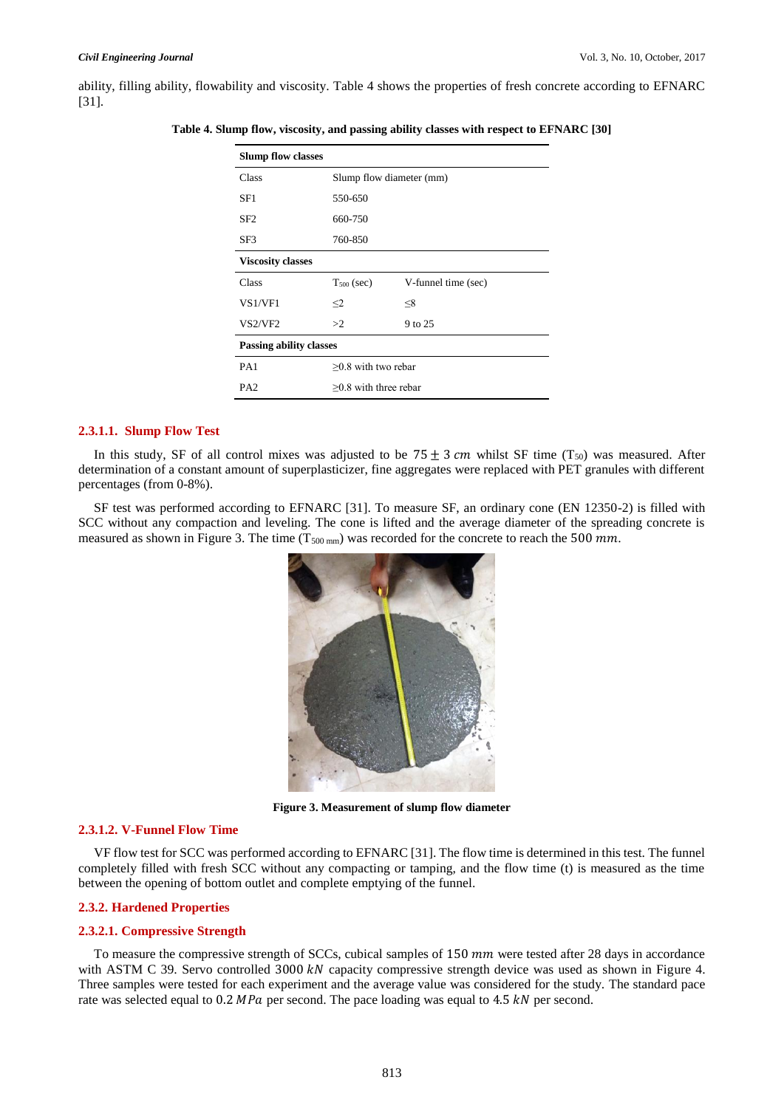ability, filling ability, flowability and viscosity. Table 4 shows the properties of fresh concrete according to EFNARC [31].

| <b>Slump flow classes</b>      |                          |                     |  |  |
|--------------------------------|--------------------------|---------------------|--|--|
| Class                          | Slump flow diameter (mm) |                     |  |  |
| SF1                            | 550-650                  |                     |  |  |
| SF <sub>2</sub>                | 660-750                  |                     |  |  |
| SF3                            | 760-850                  |                     |  |  |
| <b>Viscosity classes</b>       |                          |                     |  |  |
| <b>Class</b>                   | $T_{500}$ (sec)          | V-funnel time (sec) |  |  |
| <b>VS1/VF1</b>                 | $\leq$ 2                 | $\leq 8$            |  |  |
| VS2/VF2                        | >2                       | 9 to 25             |  |  |
| <b>Passing ability classes</b> |                          |                     |  |  |
| PA1                            | $>0.8$ with two rebar    |                     |  |  |
| PA <sub>2</sub>                | $>0.8$ with three rebar  |                     |  |  |

**Table 4. Slump flow, viscosity, and passing ability classes with respect to EFNARC [30]**

# **2.3.1.1. Slump Flow Test**

In this study, SF of all control mixes was adjusted to be  $75 \pm 3$  cm whilst SF time (T<sub>50</sub>) was measured. After determination of a constant amount of superplasticizer, fine aggregates were replaced with PET granules with different percentages (from 0-8%).

SF test was performed according to EFNARC [31]. To measure SF, an ordinary cone (EN 12350-2) is filled with SCC without any compaction and leveling. The cone is lifted and the average diameter of the spreading concrete is measured as shown in Figure 3. The time ( $T_{500 \text{ mm}}$ ) was recorded for the concrete to reach the 500  $mm$ .



**Figure 3. Measurement of slump flow diameter**

#### **2.3.1.2. V-Funnel Flow Time**

VF flow test for SCC was performed according to EFNARC [31]. The flow time is determined in this test. The funnel completely filled with fresh SCC without any compacting or tamping, and the flow time (t) is measured as the time between the opening of bottom outlet and complete emptying of the funnel.

#### **2.3.2. Hardened Properties**

#### **2.3.2.1. Compressive Strength**

To measure the compressive strength of SCCs, cubical samples of  $150 \, \text{mm}$  were tested after 28 days in accordance with ASTM C 39. Servo controlled 3000  $kN$  capacity compressive strength device was used as shown in Figure 4. Three samples were tested for each experiment and the average value was considered for the study. The standard pace rate was selected equal to  $0.2 \text{ MPa}$  per second. The pace loading was equal to 4.5 kN per second.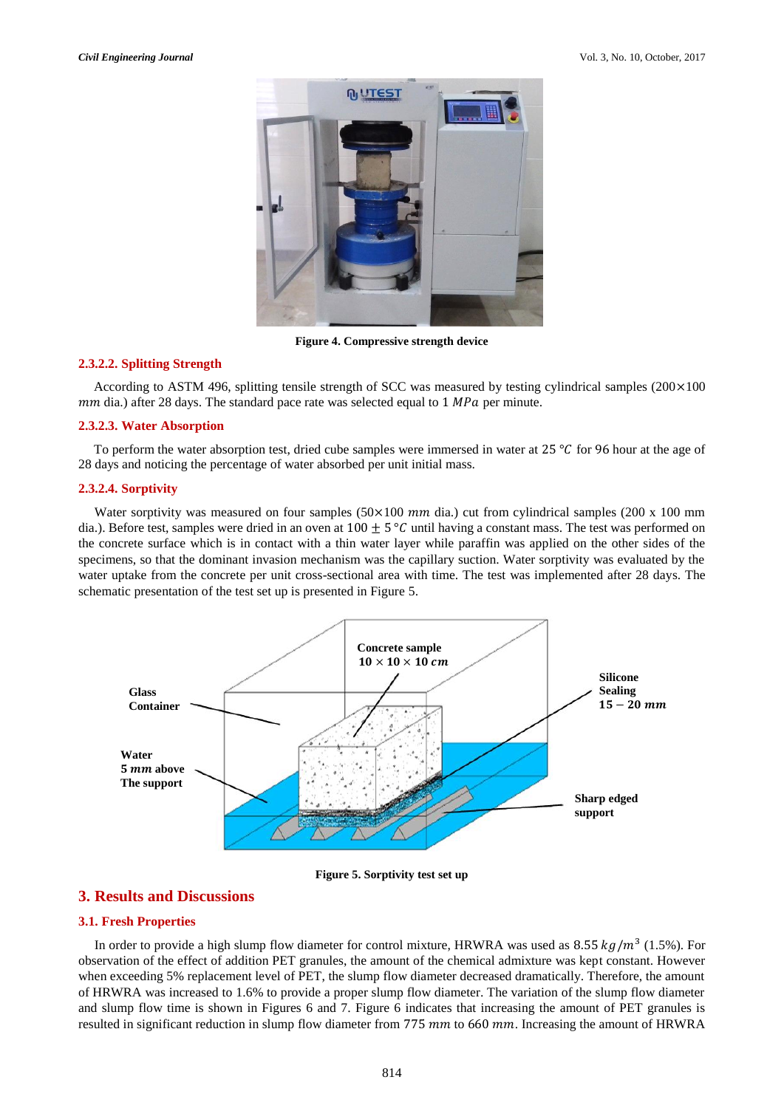

**Figure 4. Compressive strength device**

#### **2.3.2.2. Splitting Strength**

According to ASTM 496, splitting tensile strength of SCC was measured by testing cylindrical samples  $(200 \times 100$  $mm$  dia.) after 28 days. The standard pace rate was selected equal to 1  $MPa$  per minute.

#### **2.3.2.3. Water Absorption**

To perform the water absorption test, dried cube samples were immersed in water at  $25\degree C$  for 96 hour at the age of 28 days and noticing the percentage of water absorbed per unit initial mass.

#### **2.3.2.4. Sorptivity**

Water sorptivity was measured on four samples  $(50 \times 100$  mm dia.) cut from cylindrical samples (200 x 100 mm dia.). Before test, samples were dried in an oven at  $100 + 5^{\circ}C$  until having a constant mass. The test was performed on the concrete surface which is in contact with a thin water layer while paraffin was applied on the other sides of the specimens, so that the dominant invasion mechanism was the capillary suction. Water sorptivity was evaluated by the water uptake from the concrete per unit cross-sectional area with time. The test was implemented after 28 days. The schematic presentation of the test set up is presented in Figure 5.



#### **Figure 5. Sorptivity test set up**

# **3. Results and Discussions**

### **3.1. Fresh Properties**

In order to provide a high slump flow diameter for control mixture, HRWRA was used as  $8.55 kg/m<sup>3</sup>$  (1.5%). For observation of the effect of addition PET granules, the amount of the chemical admixture was kept constant. However when exceeding 5% replacement level of PET, the slump flow diameter decreased dramatically. Therefore, the amount of HRWRA was increased to 1.6% to provide a proper slump flow diameter. The variation of the slump flow diameter and slump flow time is shown in Figures 6 and 7. Figure 6 indicates that increasing the amount of PET granules is resulted in significant reduction in slump flow diameter from  $775 \, \text{mm}$  to  $660 \, \text{mm}$ . Increasing the amount of HRWRA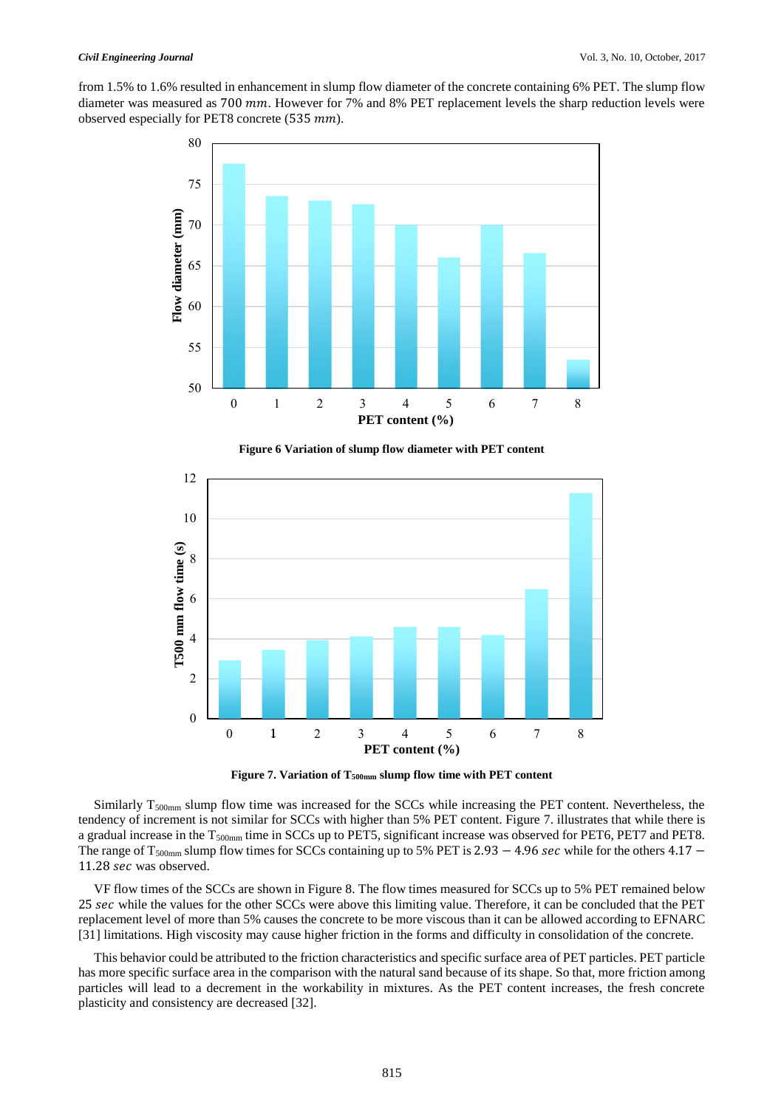from 1.5% to 1.6% resulted in enhancement in slump flow diameter of the concrete containing 6% PET. The slump flow diameter was measured as  $700$   $mm$ . However for 7% and 8% PET replacement levels the sharp reduction levels were observed especially for PET8 concrete (535 mm).



**Figure 6 Variation of slump flow diameter with PET content**



**Figure 7. Variation of T500mm slump flow time with PET content**

Similarly  $T_{500mm}$  slump flow time was increased for the SCCs while increasing the PET content. Nevertheless, the tendency of increment is not similar for SCCs with higher than 5% PET content. Figure 7. illustrates that while there is a gradual increase in the T<sub>500mm</sub> time in SCCs up to PET5, significant increase was observed for PET6, PET7 and PET8. The range of T<sub>500mm</sub> slump flow times for SCCs containing up to 5% PET is 2.93  $-$  4.96 sec while for the others 4.17  $-$ 11.28 sec was observed.

VF flow times of the SCCs are shown in Figure 8. The flow times measured for SCCs up to 5% PET remained below 25 sec while the values for the other SCCs were above this limiting value. Therefore, it can be concluded that the PET replacement level of more than 5% causes the concrete to be more viscous than it can be allowed according to EFNARC [31] limitations. High viscosity may cause higher friction in the forms and difficulty in consolidation of the concrete.

This behavior could be attributed to the friction characteristics and specific surface area of PET particles. PET particle has more specific surface area in the comparison with the natural sand because of its shape. So that, more friction among particles will lead to a decrement in the workability in mixtures. As the PET content increases, the fresh concrete plasticity and consistency are decreased [32].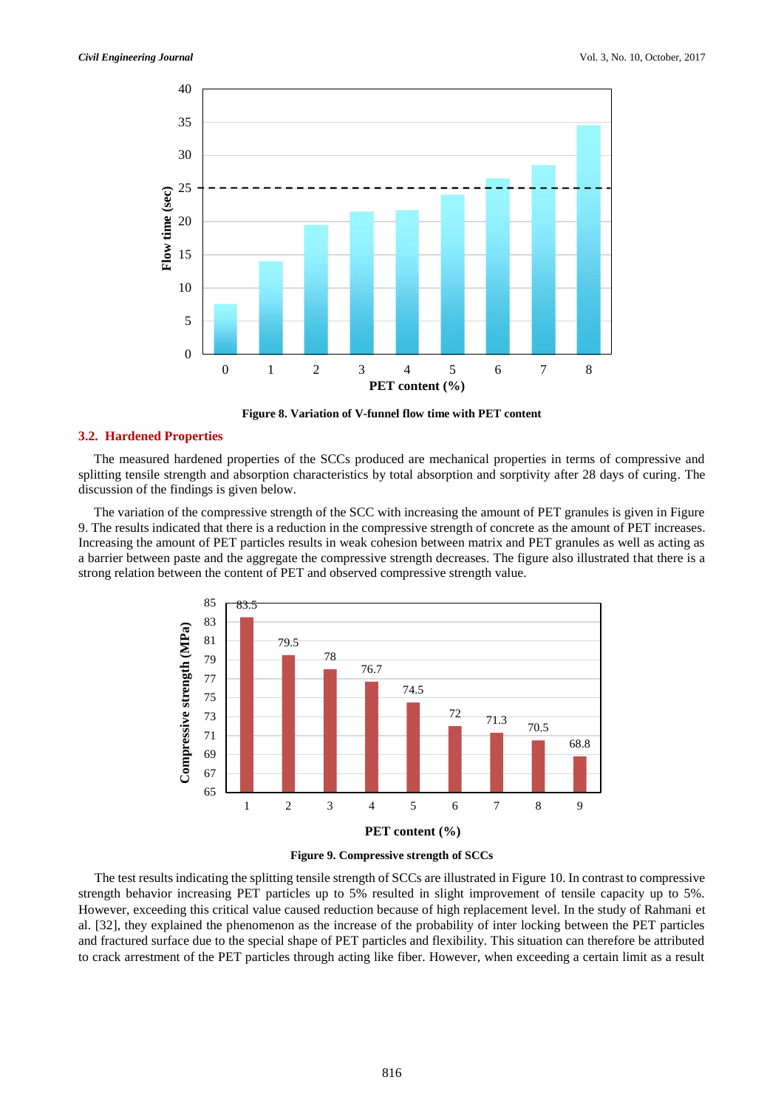

**Figure 8. Variation of V-funnel flow time with PET content**

#### **3.2. Hardened Properties**

The measured hardened properties of the SCCs produced are mechanical properties in terms of compressive and splitting tensile strength and absorption characteristics by total absorption and sorptivity after 28 days of curing. The discussion of the findings is given below.

The variation of the compressive strength of the SCC with increasing the amount of PET granules is given in Figure 9. The results indicated that there is a reduction in the compressive strength of concrete as the amount of PET increases. Increasing the amount of PET particles results in weak cohesion between matrix and PET granules as well as acting as a barrier between paste and the aggregate the compressive strength decreases. The figure also illustrated that there is a strong relation between the content of PET and observed compressive strength value.





The test results indicating the splitting tensile strength of SCCs are illustrated in Figure 10. In contrast to compressive strength behavior increasing PET particles up to 5% resulted in slight improvement of tensile capacity up to 5%. However, exceeding this critical value caused reduction because of high replacement level. In the study of Rahmani et al. [32], they explained the phenomenon as the increase of the probability of inter locking between the PET particles and fractured surface due to the special shape of PET particles and flexibility. This situation can therefore be attributed to crack arrestment of the PET particles through acting like fiber. However, when exceeding a certain limit as a result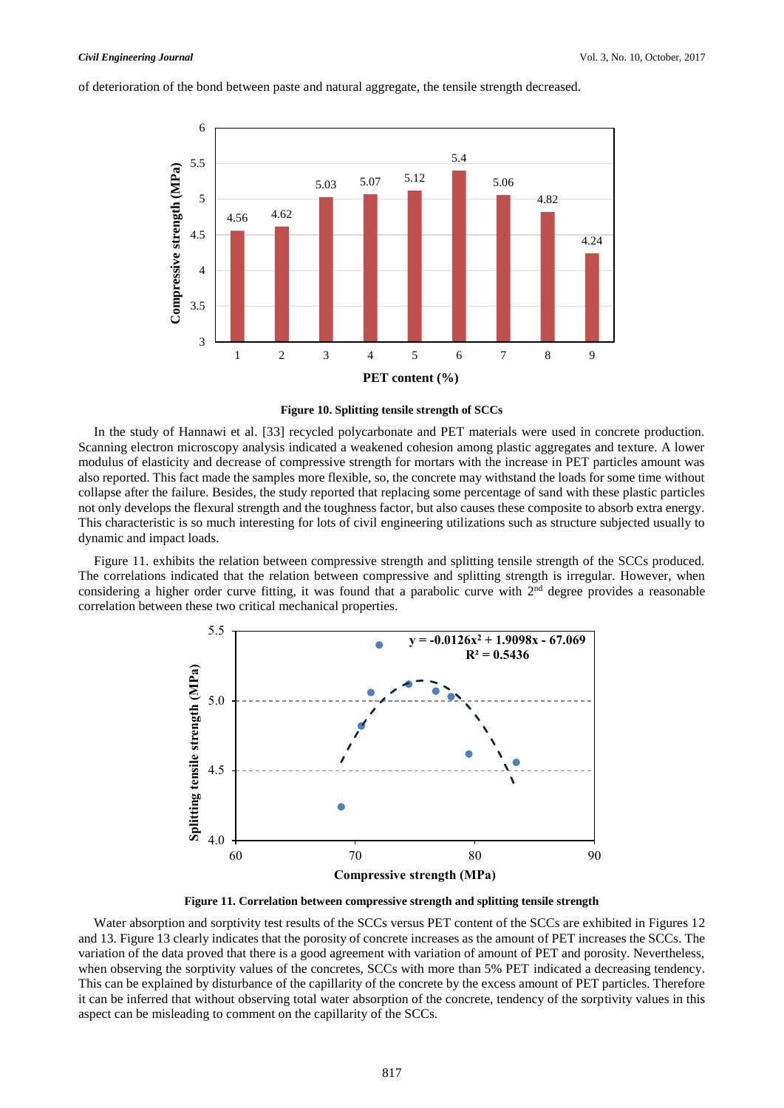

of deterioration of the bond between paste and natural aggregate, the tensile strength decreased.



In the study of Hannawi et al. [33] recycled polycarbonate and PET materials were used in concrete production. Scanning electron microscopy analysis indicated a weakened cohesion among plastic aggregates and texture. A lower modulus of elasticity and decrease of compressive strength for mortars with the increase in PET particles amount was also reported. This fact made the samples more flexible, so, the concrete may withstand the loads for some time without collapse after the failure. Besides, the study reported that replacing some percentage of sand with these plastic particles not only develops the flexural strength and the toughness factor, but also causes these composite to absorb extra energy. This characteristic is so much interesting for lots of civil engineering utilizations such as structure subjected usually to dynamic and impact loads.

Figure 11. exhibits the relation between compressive strength and splitting tensile strength of the SCCs produced. The correlations indicated that the relation between compressive and splitting strength is irregular. However, when considering a higher order curve fitting, it was found that a parabolic curve with  $2<sup>nd</sup>$  degree provides a reasonable correlation between these two critical mechanical properties.





Water absorption and sorptivity test results of the SCCs versus PET content of the SCCs are exhibited in Figures 12 and 13. Figure 13 clearly indicates that the porosity of concrete increases as the amount of PET increases the SCCs. The variation of the data proved that there is a good agreement with variation of amount of PET and porosity. Nevertheless, when observing the sorptivity values of the concretes, SCCs with more than 5% PET indicated a decreasing tendency. This can be explained by disturbance of the capillarity of the concrete by the excess amount of PET particles. Therefore it can be inferred that without observing total water absorption of the concrete, tendency of the sorptivity values in this aspect can be misleading to comment on the capillarity of the SCCs.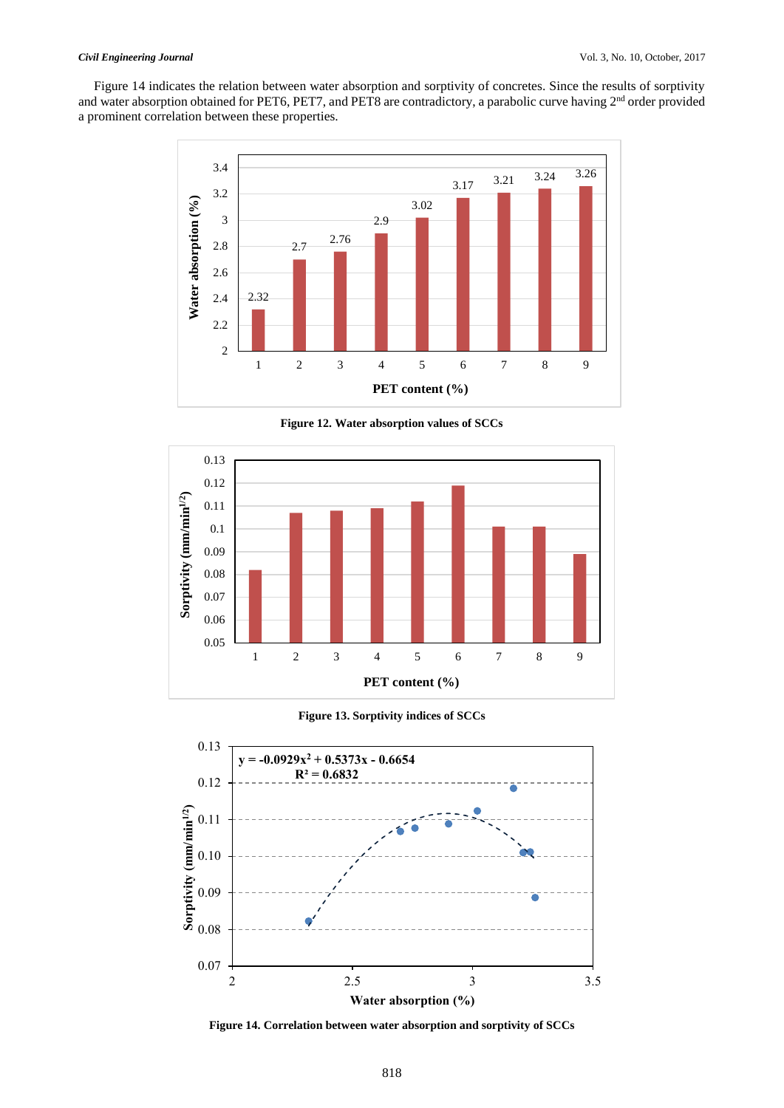Figure 14 indicates the relation between water absorption and sorptivity of concretes. Since the results of sorptivity and water absorption obtained for PET6, PET7, and PET8 are contradictory, a parabolic curve having  $2^{nd}$  order provided a prominent correlation between these properties.



**Figure 12. Water absorption values of SCCs**



**Figure 13. Sorptivity indices of SCCs**



**Figure 14. Correlation between water absorption and sorptivity of SCCs**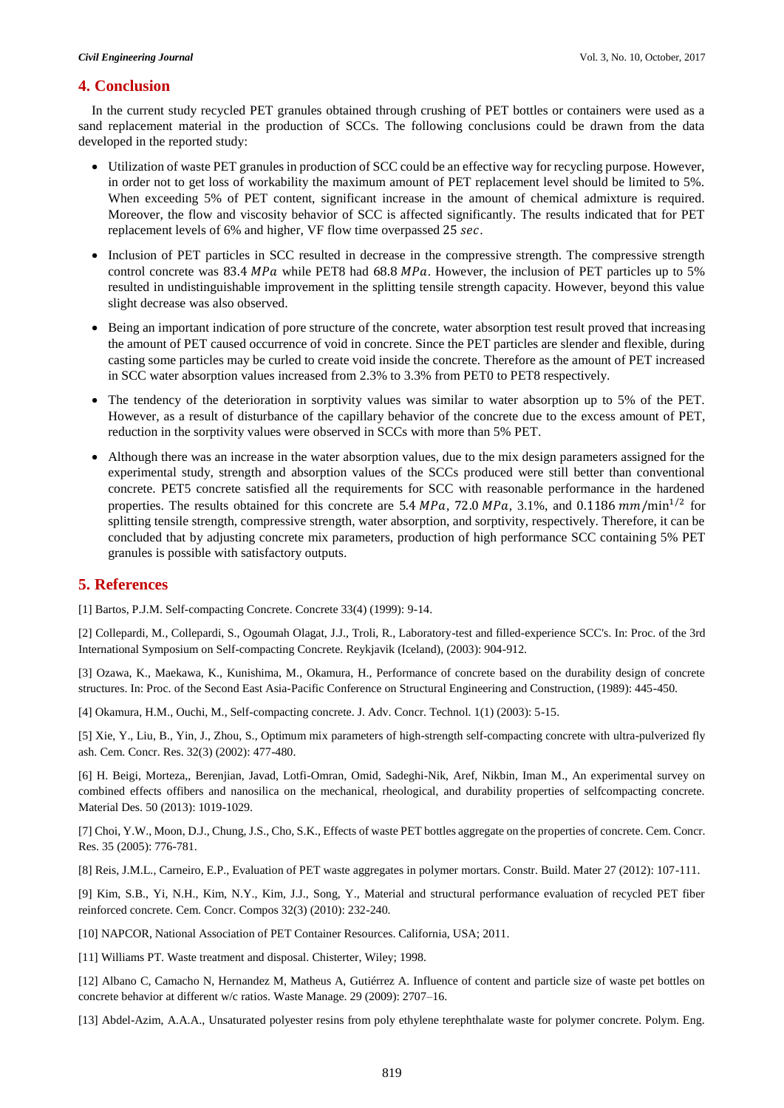# **4. Conclusion**

In the current study recycled PET granules obtained through crushing of PET bottles or containers were used as a sand replacement material in the production of SCCs. The following conclusions could be drawn from the data developed in the reported study:

- Utilization of waste PET granules in production of SCC could be an effective way for recycling purpose. However, in order not to get loss of workability the maximum amount of PET replacement level should be limited to 5%. When exceeding 5% of PET content, significant increase in the amount of chemical admixture is required. Moreover, the flow and viscosity behavior of SCC is affected significantly. The results indicated that for PET replacement levels of 6% and higher, VF flow time overpassed 25 sec.
- Inclusion of PET particles in SCC resulted in decrease in the compressive strength. The compressive strength control concrete was  $83.4 \text{ MPa}$  while PET8 had  $68.8 \text{ MPa}$ . However, the inclusion of PET particles up to 5% resulted in undistinguishable improvement in the splitting tensile strength capacity. However, beyond this value slight decrease was also observed.
- Being an important indication of pore structure of the concrete, water absorption test result proved that increasing the amount of PET caused occurrence of void in concrete. Since the PET particles are slender and flexible, during casting some particles may be curled to create void inside the concrete. Therefore as the amount of PET increased in SCC water absorption values increased from 2.3% to 3.3% from PET0 to PET8 respectively.
- The tendency of the deterioration in sorptivity values was similar to water absorption up to 5% of the PET. However, as a result of disturbance of the capillary behavior of the concrete due to the excess amount of PET, reduction in the sorptivity values were observed in SCCs with more than 5% PET.
- Although there was an increase in the water absorption values, due to the mix design parameters assigned for the experimental study, strength and absorption values of the SCCs produced were still better than conventional concrete. PET5 concrete satisfied all the requirements for SCC with reasonable performance in the hardened properties. The results obtained for this concrete are 5.4 MPa, 72.0 MPa, 3.1%, and 0.1186  $mm/min^{1/2}$  for splitting tensile strength, compressive strength, water absorption, and sorptivity, respectively. Therefore, it can be concluded that by adjusting concrete mix parameters, production of high performance SCC containing 5% PET granules is possible with satisfactory outputs.

# **5. References**

[1] Bartos, P.J.M. Self-compacting Concrete. Concrete 33(4) (1999): 9-14.

[2] Collepardi, M., Collepardi, S., Ogoumah Olagat, J.J., Troli, R., Laboratory-test and filled-experience SCC's. In: Proc. of the 3rd International Symposium on Self-compacting Concrete. Reykjavik (Iceland), (2003): 904-912.

[3] Ozawa, K., Maekawa, K., Kunishima, M., Okamura, H., Performance of concrete based on the durability design of concrete structures. In: Proc. of the Second East Asia-Pacific Conference on Structural Engineering and Construction, (1989): 445-450.

[4] Okamura, H.M., Ouchi, M., Self-compacting concrete. J. Adv. Concr. Technol. 1(1) (2003): 5-15.

[5] Xie, Y., Liu, B., Yin, J., Zhou, S., Optimum mix parameters of high-strength self-compacting concrete with ultra-pulverized fly ash. Cem. Concr. Res. 32(3) (2002): 477-480.

[6] H. Beigi, Morteza,, Berenjian, Javad, Lotfi-Omran, Omid, Sadeghi-Nik, Aref, Nikbin, Iman M., An experimental survey on combined effects offibers and nanosilica on the mechanical, rheological, and durability properties of selfcompacting concrete. Material Des. 50 (2013): 1019-1029.

[7] Choi, Y.W., Moon, D.J., Chung, J.S., Cho, S.K., Effects of waste PET bottles aggregate on the properties of concrete. Cem. Concr. Res. 35 (2005): 776-781.

[8] Reis, J.M.L., Carneiro, E.P., Evaluation of PET waste aggregates in polymer mortars. Constr. Build. Mater 27 (2012): 107-111.

[9] Kim, S.B., Yi, N.H., Kim, N.Y., Kim, J.J., Song, Y., Material and structural performance evaluation of recycled PET fiber reinforced concrete. Cem. Concr. Compos 32(3) (2010): 232-240.

[10] NAPCOR, National Association of PET Container Resources. California, USA; 2011.

[11] Williams PT. Waste treatment and disposal. Chisterter, Wiley; 1998.

[12] Albano C, Camacho N, Hernandez M, Matheus A, Gutiérrez A. Influence of content and particle size of waste pet bottles on concrete behavior at different w/c ratios. Waste Manage. 29 (2009): 2707–16.

[13] Abdel-Azim, A.A.A., Unsaturated polyester resins from poly ethylene terephthalate waste for polymer concrete. Polym. Eng.